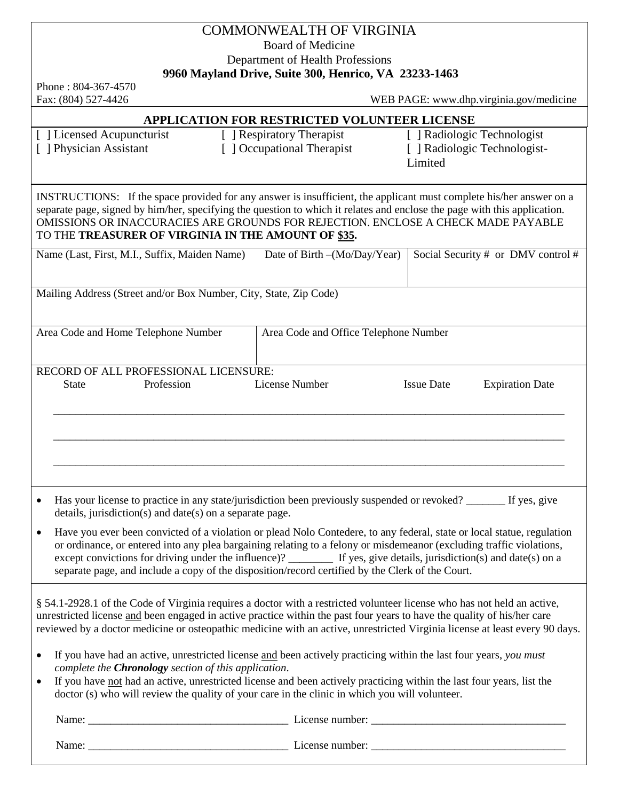## COMMONWEALTH OF VIRGINIA Board of Medicine Department of Health Professions **9960 Mayland Drive, Suite 300, Henrico, VA 23233-1463**

Phone : 804-367-4570

Fax: (804) 527-4426 WEB PAGE: www.dhp.virginia.gov/medicine

## **APPLICATION FOR RESTRICTED VOLUNTEER LICENSE**

[ ] Licensed Acupuncturist [ ] Physician Assistant

[ ] Respiratory Therapist [ ] Occupational Therapist

[ ] Radiologic Technologist [ ] Radiologic Technologist-Limited

INSTRUCTIONS: If the space provided for any answer is insufficient, the applicant must complete his/her answer on a separate page, signed by him/her, specifying the question to which it relates and enclose the page with this application. OMISSIONS OR INACCURACIES ARE GROUNDS FOR REJECTION. ENCLOSE A CHECK MADE PAYABLE TO THE **TREASURER OF VIRGINIA IN THE AMOUNT OF \$35.**

| Name (Last, First, M.I., Suffix, Maiden Name)                                                                                                                                              | Date of Birth - (Mo/Day/Year)         | Social Security # or DMV control #          |  |  |  |  |  |
|--------------------------------------------------------------------------------------------------------------------------------------------------------------------------------------------|---------------------------------------|---------------------------------------------|--|--|--|--|--|
| Mailing Address (Street and/or Box Number, City, State, Zip Code)                                                                                                                          |                                       |                                             |  |  |  |  |  |
|                                                                                                                                                                                            |                                       |                                             |  |  |  |  |  |
| Area Code and Home Telephone Number                                                                                                                                                        | Area Code and Office Telephone Number |                                             |  |  |  |  |  |
|                                                                                                                                                                                            |                                       |                                             |  |  |  |  |  |
| RECORD OF ALL PROFESSIONAL LICENSURE:                                                                                                                                                      |                                       |                                             |  |  |  |  |  |
| <b>State</b><br>Profession                                                                                                                                                                 | License Number                        | <b>Issue Date</b><br><b>Expiration Date</b> |  |  |  |  |  |
|                                                                                                                                                                                            |                                       |                                             |  |  |  |  |  |
|                                                                                                                                                                                            |                                       |                                             |  |  |  |  |  |
|                                                                                                                                                                                            |                                       |                                             |  |  |  |  |  |
|                                                                                                                                                                                            |                                       |                                             |  |  |  |  |  |
|                                                                                                                                                                                            |                                       |                                             |  |  |  |  |  |
|                                                                                                                                                                                            |                                       |                                             |  |  |  |  |  |
| Has your license to practice in any state/jurisdiction been previously suspended or revoked? _______ If yes, give<br>$\bullet$<br>details, jurisdiction(s) and date(s) on a separate page. |                                       |                                             |  |  |  |  |  |
| Have you ever been convicted of a violation or plead Nolo Contedere, to any federal, state or local statue, regulation<br>$\bullet$                                                        |                                       |                                             |  |  |  |  |  |
| or ordinance, or entered into any plea bargaining relating to a felony or misdemeanor (excluding traffic violations,                                                                       |                                       |                                             |  |  |  |  |  |
| except convictions for driving under the influence)? _________ If yes, give details, jurisdiction(s) and date(s) on a                                                                      |                                       |                                             |  |  |  |  |  |
| separate page, and include a copy of the disposition/record certified by the Clerk of the Court.                                                                                           |                                       |                                             |  |  |  |  |  |
| § 54.1-2928.1 of the Code of Virginia requires a doctor with a restricted volunteer license who has not held an active,                                                                    |                                       |                                             |  |  |  |  |  |
| unrestricted license and been engaged in active practice within the past four years to have the quality of his/her care                                                                    |                                       |                                             |  |  |  |  |  |
| reviewed by a doctor medicine or osteopathic medicine with an active, unrestricted Virginia license at least every 90 days.                                                                |                                       |                                             |  |  |  |  |  |
|                                                                                                                                                                                            |                                       |                                             |  |  |  |  |  |
| If you have had an active, unrestricted license and been actively practicing within the last four years, you must<br>$\bullet$                                                             |                                       |                                             |  |  |  |  |  |
| complete the <b>Chronology</b> section of this application.<br>If you have not had an active, unrestricted license and been actively practicing within the last four years, list the       |                                       |                                             |  |  |  |  |  |
| doctor (s) who will review the quality of your care in the clinic in which you will volunteer.                                                                                             |                                       |                                             |  |  |  |  |  |
|                                                                                                                                                                                            |                                       |                                             |  |  |  |  |  |

 Name: \_\_\_\_\_\_\_\_\_\_\_\_\_\_\_\_\_\_\_\_\_\_\_\_\_\_\_\_\_\_\_\_\_\_\_\_ License number: \_\_\_\_\_\_\_\_\_\_\_\_\_\_\_\_\_\_\_\_\_\_\_\_\_\_\_\_\_\_\_\_\_\_\_ Name: \_\_\_\_\_\_\_\_\_\_\_\_\_\_\_\_\_\_\_\_\_\_\_\_\_\_\_\_\_\_\_\_\_\_\_\_ License number: \_\_\_\_\_\_\_\_\_\_\_\_\_\_\_\_\_\_\_\_\_\_\_\_\_\_\_\_\_\_\_\_\_\_\_